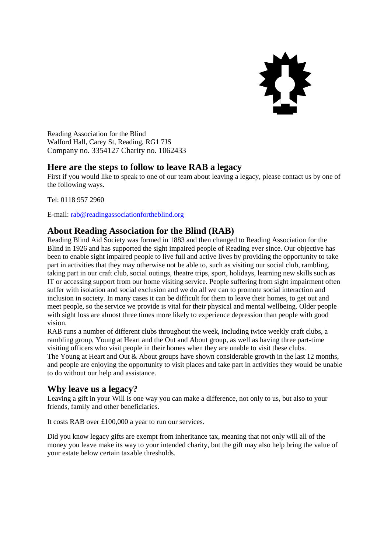

Reading Association for the Blind Walford Hall, Carey St, Reading, RG1 7JS Company no. 3354127 Charity no. 1062433

## **Here are the steps to follow to leave RAB a legacy**

First if you would like to speak to one of our team about leaving a legacy, please contact us by one of the following ways.

Tel: 0118 957 2960

E-mail[: rab@readingassociationfortheblind.org](mailto:rab@readingassociationfortheblind.org)

# **About Reading Association for the Blind (RAB)**

Reading Blind Aid Society was formed in 1883 and then changed to Reading Association for the Blind in 1926 and has supported the sight impaired people of Reading ever since. Our objective has been to enable sight impaired people to live full and active lives by providing the opportunity to take part in activities that they may otherwise not be able to, such as visiting our social club, rambling, taking part in our craft club, social outings, theatre trips, sport, holidays, learning new skills such as IT or accessing support from our home visiting service. People suffering from sight impairment often suffer with isolation and social exclusion and we do all we can to promote social interaction and inclusion in society. In many cases it can be difficult for them to leave their homes, to get out and meet people, so the service we provide is vital for their physical and mental wellbeing. Older people with sight loss are almost three times more likely to experience depression than people with good vision.

RAB runs a number of different clubs throughout the week, including twice weekly craft clubs, a rambling group, Young at Heart and the Out and About group, as well as having three part-time visiting officers who visit people in their homes when they are unable to visit these clubs. The Young at Heart and Out & About groups have shown considerable growth in the last 12 months, and people are enjoying the opportunity to visit places and take part in activities they would be unable to do without our help and assistance.

## **Why leave us a legacy?**

Leaving a gift in your Will is one way you can make a difference, not only to us, but also to your friends, family and other beneficiaries.

It costs RAB over £100,000 a year to run our services.

Did you know legacy gifts are exempt from inheritance tax, meaning that not only will all of the money you leave make its way to your intended charity, but the gift may also help bring the value of your estate below certain taxable thresholds.